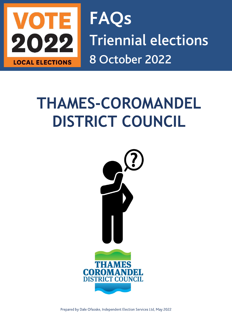

FAQs Triennial elections LOCAL ELECTIONS 8 October 2022

# THAMES-COROMANDEL DISTRICT COUNCIL



Prepared by Dale Ofsoske, Independent Election Services Ltd, May 2022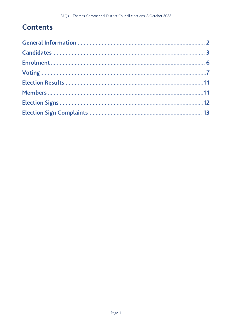## **Contents**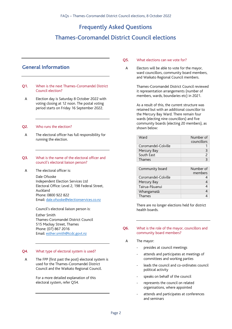## Frequently Asked Questions

## Thames-Coromandel District Council elections

## **General Information**

- Q1. When is the next Thames-Coromandel District Council election?
- A Election day is Saturday 8 October 2022 with voting closing at 12 noon. The postal voting period starts on Friday 16 September 2022.

#### Q2. Who runs the election?

A The electoral officer has full responsibility for running the election.

#### Q3. What is the name of the electoral officer and council's electoral liaison person?

A The electoral officer is:

Dale Ofsoske Independent Election Services Ltd Electoral Office: Level 2, 198 Federal Street, Auckland Phone: 0800 922 822 Email: dale.ofsoske@electionservices.co.nz

Council's electoral liaison person is:

Esther Smith Thames-Coromandel District Council 515 Mackay Street, Thames Phone: (07) 867 2016 Email: esther.smith@tcdc.govt.nz

#### Q4. What type of electoral system is used?

A The FPP (first past the post) electoral system is used for the Thames-Coromandel District Council and the Waikato Regional Council.

> For a more detailed explanation of this electoral system, refer Q54.

#### Q5. What elections can we vote for?

A Electors will be able to vote for the mayor, ward councillors, community board members, and Waikato Regional Council members.

> Thames-Coromandel District Council reviewed it representation arrangements (number of members, wards, boundaries etc) in 2021.

As a result of this, the current structure was retained but with an additional councillor to the Mercury Bay Ward. There remain four wards (electing nine councillors) and five community boards (electing 20 members), as shown below:

| Ward                | Number of<br>councillors |
|---------------------|--------------------------|
| Coromandel-Colville |                          |
| Mercury Bay         |                          |
| South Fast          |                          |
| Thames              |                          |

| Community board     | Number of<br>members |
|---------------------|----------------------|
| Coromandel-Colville |                      |
| Mercury Bay         |                      |
| Tairua-Pāuanui      |                      |
| Whangamatā          |                      |
| Thames              |                      |

There are no longer elections held for district health boards.

#### Q6. What is the role of the mayor, councillors and community board members?

- A The mayor:
	- presides at council meetings
	- attends and participates at meetings of committees and working parties
	- leads the council and co-ordinates council political activity
	- speaks on behalf of the council
	- represents the council on related organisations, where appointed
	- attends and participates at conferences and seminars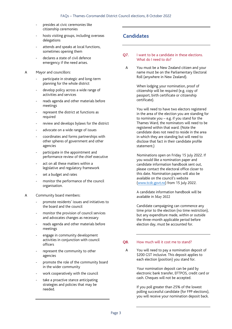- presides at civic ceremonies like citizenship ceremonies
- hosts visiting groups, including overseas delegations
- attends and speaks at local functions, sometimes opening them
- declares a state of civil defence emergency if the need arises.
- A Mayor and councillors:
	- participate in strategic and long-term planning for the whole district
	- develop policy across a wide range of activities and services
	- reads agenda and other materials before meetings
	- represent the district at functions as required
	- review and develops bylaws for the district
	- advocate on a wide range of issues
	- coordinates and forms partnerships with other spheres of government and other agencies
	- participate in the appointment and performance review of the chief executive
	- act on all these matters within a legislative and regulatory framework
	- set a budget and rates
	- monitor the performance of the council organisation.
- A Community board members:
	- promote residents' issues and initiatives to the board and the council
	- monitor the provision of council services and advocates changes as necessary
	- reads agenda and other materials before meetings
	- engage in community development activities in conjunction with council officers
	- represent the community to other agencies
	- promote the role of the community board in the wider community
	- work cooperatively with the council
	- take a proactive stance anticipating strategies and policies that may be needed.

## **Candidates**

- O7. I want to be a candidate in these elections. What do I need to do?
	- A You must be a New Zealand citizen and your name must be on the Parliamentary Electoral Roll (anywhere in New Zealand).

When lodging your nomination, proof of citizenship will be required (e.g. copy of passport, birth certificate or citizenship certificate).

You will need to have two electors registered in the area of the election you are standing for to nominate you – e.g. if you stand for the Thames Ward, the nominators will need to be registered within that ward. (Note the candidate does not need to reside in the area in which they are standing but will need to disclose that fact in their candidate profile statement.)

Nominations open on Friday 15 July 2022. If you would like a nomination paper and candidate information handbook sent out, please contact the electoral office closer to this date. Nomination papers will also be available on the council's website (www.tcdc.govt.nz) from 15 July 2022.

A candidate information handbook will be available in May 2022

Candidate campaigning can commence any time prior to the election (no time restriction), but any expenditure made, within or outside the three-month applicable period before election day, must be accounted for.

#### Q8. How much will it cost me to stand?

A You will need to pay a nomination deposit of \$200 GST inclusive. This deposit applies to each election (position) you stand for.

> Your nomination deposit can be paid by electronic bank transfer, EFTPOS, credit card or cash. Cheques will not be accepted.

> If you poll greater than 25% of the lowest polling successful candidate (for FPP elections), you will receive your nomination deposit back.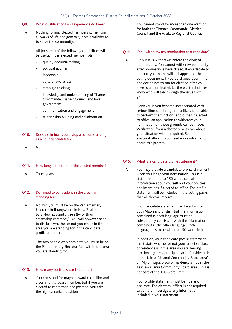#### Q9. What qualifications and experience do I need?

A Nothing formal. Elected members come from all walks of life and generally have a will/desire to serve the community.

> All (or some) of the following capabilities will be useful in the elected member role:

- quality decision-making
- political acumen
- leadership
- cultural awareness
- strategic thinking
- knowledge and understanding of Thames-Coromandel District Council and local government
- communication and engagement
- relationship building and collaboration.
- Q10. Does a criminal record stop a person standing as a council candidate?
	- A No.

#### Q11. How long is the term of the elected member?

A Three years.

#### Q12. Do I need to be resident in the area I am standing for?

A No, but you must be on the Parliamentary Electoral Roll (anywhere in New Zealand) and be a New Zealand citizen (by birth or citizenship ceremony). You will however need to disclose whether or not you reside in the area you are standing for in the candidate profile statement.

> The two people who nominate you must be on the Parliamentary Electoral Roll within the area you are standing for.

#### Q13. How many positions can I stand for?

A You can stand for mayor, a ward councillor and a community board member, but if you are elected to more than one position, you take the highest ranked position.

You cannot stand for more than one ward or for both the Thames-Coromandel District Council and the Waikato Regional Council.

#### Q14. Can I withdraw my nomination as a candidate?

A Only if it is withdrawn before the close of nominations. You cannot withdraw voluntarily after nominations have closed. If you decide to opt out, your name will still appear on the voting document. If you do change your mind and decide not to run for election after you have been nominated, let the electoral officer know who will talk through the issues with you.

> However, if you become incapacitated with serious illness or injury and unlikely to be able to perform the functions and duties if elected to office, an application to withdraw your nomination on those grounds can be made. Verification from a doctor or a lawyer about your situation will be required. See the electoral officer if you need more information about this process.

#### Q15. What is a candidate profile statement?

A You may provide a candidate profile statement when you lodge your nomination. This is a statement of up to 150 words containing information about yourself and your policies and intentions if elected to office. The profile statement will be included in the voting packs that all electors receive.

> Your candidate statement can be submitted in both Māori and English, but the information contained in each language must be substantially consistent with the information contained in the other language. Each language has to be within a 150-word limit.

In addition, your candidate profile statement must state whether or not your principal place of residence is in the area you are seeking election, e.g., 'My principal place of residence is in the Tairua-Pāuanui Community Board area', or 'My principal place of residence is not in the Tairua-Pāuanui Community Board area'. This is not part of the 150-word limit.

Your profile statement must be true and accurate. The electoral officer is not required to verify or investigate any information included in your statement.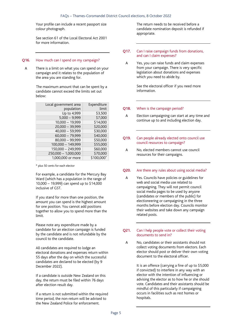Your profile can include a recent passport size colour photograph.

See section 61 of the Local Electoral Act 2001 for more information.

#### Q16. How much can I spend on my campaign?

A There is a limit on what you can spend on your campaign and it relates to the population of the area you are standing for.

> The maximum amount that can be spent by a candidate cannot exceed the limits set out below:

| Local government area | Expenditure |
|-----------------------|-------------|
| population            | limit       |
| Up to 4,999           | \$3,500     |
| $5,000 - 9,999$       | \$7,000     |
| $10,000 - 19,999$     | \$14,000    |
| 20,000 - 39,999       | \$20,000    |
| $40,000 - 59,999$     | \$30,000    |
| $60,000 - 79,999$     | \$40,000    |
| 80,000 - 99,999       | \$50,000    |
| 100,000 - 149,999     | \$55,000    |
| 150,000 - 249,999     | \$60,000    |
| 250,000 - 1,000,000   | \$70,000    |
| 1,000,000 or more     | \$100,000*  |

\* plus 50 cents for each elector

For example, a candidate for the Mercury Bay Ward (which has a population in the range of 10,000 – 19,999) can spend up to \$14,000 inclusive of GST.

If you stand for more than one position, the amount you can spend is the highest amount for one position. You cannot add positions together to allow you to spend more than the limit.

Please note any expenditure made by a candidate for an election campaign is funded by the candidate and is not refundable by the council to the candidate.

All candidates are required to lodge an electoral donations and expenses return within 55 days after the day on which the successful candidates are declared to be elected (by 9 December 2022).

If a candidate is outside New Zealand on this day, the return must be filed within 76 days after election result day.

If a return is not submitted within the required time period, the non-return will be advised to the New Zealand Police for enforcement.

The return needs to be received before a candidate nomination deposit is refunded if appropriate.

#### Q17. Can I raise campaign funds from donations, and can I claim expenses?

A Yes, you can raise funds and claim expenses from your campaign. There is very specific legislation about donations and expenses which you need to abide by.

> See the electoral officer if you need more information.

#### Q18. When is the campaign period?

A Election campaigning can start at any time and continue up to and including election day.

#### Q19. Can people already elected onto council use council resources to campaign?

A No, elected members cannot use council resources for their campaigns.

#### Q20. Are there any rules about using social media?

A Yes. Councils have policies or guidelines for web and social media use related to campaigning. They will not permit council social media pages to be used by anyone (candidates or members of the public) for electioneering or campaigning in the three months before election day. Councils monitor their websites and take down any campaign related posts.

#### Q21. Can I help people vote or collect their voting documents to send in?

A No, candidates or their assistants should not collect voting documents from electors. Each elector should post or deliver their own voting document to the electoral officer.

> It is an offence (carrying a fine of up to \$5,000 if convicted) to interfere in any way with an elector with the intention of influencing or advising the elector as to how he or she should vote. Candidates and their assistants should be mindful of this particularly if campaigning occurs in facilities such as rest homes or hospitals.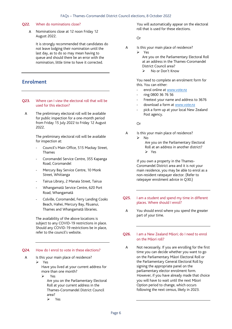#### Q22. When do nominations close?

 $\Delta$ Nominations close at 12 noon Friday 12 August 2022.

> It is strongly recommended that candidates do not leave lodging their nomination until the last day, as to do so may mean having to queue and should there be an error with the nomination, little time to have it corrected.

## **Enrolment**

- Q23. Where can I view the electoral roll that will be used for this election?
- A The preliminary electoral roll will be available for public inspection for a one-month period from Friday 15 July 2022 to Friday 12 August 2022.

The preliminary electoral roll will be available for inspection at:

- Council's Main Office, 515 Mackay Street, Thames
- Coromandel Service Centre, 355 Kapanga Road, Coromandel
- Mercury Bay Service Centre, 10 Monk Street, Whitianga
- Tairua Library, 2 Manaia Street, Tairua
- Whangamatā Service Centre, 620 Port Road, Whangamatā
- Colville, Coromandel, Ferry Landing Cooks Beach, Hahei, Mercury Bay, Pāuanui, Thames and Whangamatā libraries.

The availability of the above locations is subject to any COVID-19 restrictions in place. Should any COVID-19 restrictions be in place, refer to the council's website.

#### Q24. How do I enrol to vote in these elections?

A Is this your main place of residence? Yes

> Have you lived at your current address for more than one month?

Yes

Are you on the Parliamentary Electoral Roll at your current address in the Thames-Coromandel District Council area?

Yes

 You will automatically appear on the electoral roll that is used for these elections.

Or

- A Is this your main place of residence?
	- Yes
		- Are you on the Parliamentary Electoral Roll at an address in the Thames-Coromandel District Council area?
		- No or Don't Know

You need to complete an enrolment form for this. You can either:

- enrol online at www.vote.nz
- ring 0800 36 76 56
- Freetext your name and address to 3676
- download a form at www.vote.nz
- pick a form up at your local New Zealand Post agency.

Or

- A Is this your main place of residence?
	- $\triangleright$  No
		- Are you on the Parliamentary Electoral Roll at an address in another district? Yes

 If you own a property in the Thames-Coromandel District area and it is not your main residence, you may be able to enrol as a non-resident ratepayer elector. (Refer to ratepayer enrolment advice in Q30.)

- Q25. I am a student and spend my time in different places. Where should I enrol?
- A You should enrol where you spend the greater part of your time.

#### Q26. I am a New Zealand Māori; do I need to enrol on the Māori roll?

A Not necessarily. If you are enrolling for the first time you can decide whether you want to go on the Parliamentary Māori Electoral Roll or the Parliamentary General Electoral Roll by signing the appropriate panel on the parliamentary elector enrolment form. However, if you have already made that choice you will have to wait until the next Māori Option period to change, which occurs following the next census, likely in 2023.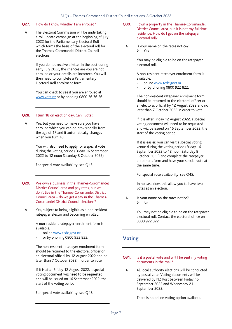#### Q27. How do I know whether I am enrolled?

A The Electoral Commission will be undertaking a roll update campaign at the beginning of July 2022 for the Parliamentary Electoral Roll which forms the basis of the electoral roll for the Thames-Coromandel District Council elections.

> If you do not receive a letter in the post during early July 2022, the chances are you are not enrolled or your details are incorrect. You will then need to complete a Parliamentary Electoral Roll enrolment form.

You can check to see if you are enrolled at www.vote.nz or by phoning 0800 36 76 56.

#### Q28. I turn 18 on election day. Can I vote?

A Yes, but you need to make sure you have enrolled which you can do provisionally from the age of 17 and it automatically changes when you turn 18.

> You will also need to apply for a special vote during the voting period (Friday 16 September 2022 to 12 noon Saturday 8 October 2022).

For special vote availability, see Q45.

- Q29. We own a business in the Thames-Coromandel District Council area and pay rates, but we don't live in the Thames-Coromandel District Council area – do we get a say in the Thames-Coromandel District Council elections?
	- A Yes, subject to being eligible as a non-resident ratepayer elector and becoming enrolled.

A non-resident ratepayer enrolment form is available:

- online www.tcdc.govt.nz
- or by phoning 0800 922 822.

 The non-resident ratepayer enrolment form should be returned to the electoral officer or an electoral official by 12 August 2022 and no later than 7 October 2022 in order to vote.

If it is after Friday 12 August 2022, a special voting document will need to be requested and will be issued on 16 September 2022, the start of the voting period.

For special vote availability, see Q45.

- Q30. I own a property in the Thames-Coromandel District Council area, but it is not my fulltime residence. How do I get on the ratepayer electoral roll?
	- A Is your name on the rates notice?  $Y$ es

 You may be eligible to be on the ratepayer electoral roll.

A non-resident ratepayer enrolment form is available:

- online www.tcdc.govt.nz
- or by phoning 0800 922 822.

 The non-resident ratepayer enrolment form should be returned to the electoral officer or an electoral official by 12 August 2022 and no later than 7 October 2022 in order to vote.

If it is after Friday 12 August 2022, a special voting document will need to be requested and will be issued on 16 September 2022, the start of the voting period.

 If it is easier, you can visit a special voting venue during the voting period (Friday 16 September 2022 to 12 noon Saturday 8 October 2022) and complete the ratepayer enrolment form and have your special vote at the same time.

For special vote availability, see Q45.

 In no case does this allow you to have two votes at an election.

A Is your name on the rates notice?  $\triangleright$  No

> You may not be eligible to be on the ratepayer electoral roll. Contact the electoral office on 0800 922 822.

## **Voting**

#### Q31. Is it a postal vote and will I be sent my voting documents in the mail?

A All local authority elections will be conducted by postal vote. Voting documents will be delivered by NZ Post between Friday 16 September 2022 and Wednesday 21 September 2022.

There is no online voting option available.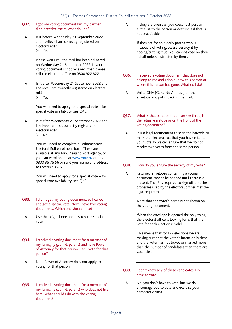- Q32. I got my voting document but my partner didn't receive theirs, what do I do?
- A Is it before Wednesday 21 September 2022 and I believe I am correctly registered on electoral roll? Yes

 Please wait until the mail has been delivered on Wednesday 21 September 2022. If your voting document is not received, then please call the electoral office on 0800 922 822.

A Is it after Wednesday 21 September 2022 and I believe I am correctly registered on electoral roll? Yes

> You will need to apply for a special vote – for special vote availability, see Q45.

A Is it after Wednesday 21 September 2022 and I believe I am not correctly registered on electoral roll?  $\triangleright$  No

> You will need to complete a Parliamentary Electoral Roll enrolment form. These are available at any New Zealand Post agency, or you can enrol online at www.vote.nz or ring 0800 36 76 56 or send your name and address to Freetext 3676.

 You will need to apply for a special vote – for special vote availability, see Q45.

- Q33. I didn't get my voting document, so I called and got a special vote. Now I have two voting documents. Which one should I use?
	- A Use the original one and destroy the special vote.
- Q34. I received a voting document for a member of my family (e.g. child, parent) and have Power of Attorney for that person. Can I vote for that person?
- A No Power of Attorney does not apply to voting for that person.
- Q35. I received a voting document for a member of my family (e.g. child, parent) who does not live here. What should I do with the voting document?

A If they are overseas, you could fast post or airmail it to the person or destroy it if that is not practicable.

> If they are for an elderly parent who is incapable of voting, please destroy it by ripping/cutting it up. You cannot vote on their behalf unless instructed by them.

- Q36. I received a voting document that does not belong to me and I don't know this person or where this person has gone. What do I do?
- A Write GNA (Gone No Address) on the envelope and put it back in the mail.
- Q37. What is that barcode that I can see through the return envelope or on the front of the voting document?
- A It is a legal requirement to scan the barcode to mark the electoral roll that you have returned your vote so we can ensure that we do not receive two votes from the same person.

#### Q38. How do you ensure the secrecy of my vote?

A Returned envelopes containing a voting document cannot be opened until there is a JP present. The JP is required to sign off that the processes used by the electoral officer met the legal requirements.

> Note that the voter's name is not shown on the voting document.

 When the envelope is opened the only thing the electoral office is looking for is that the vote for each election is valid.

 This means that for FPP elections we are making sure that the voter's intention is clear and the voter has not ticked or marked more than the number of candidates than there are vacancies.

#### Q39. I don't know any of these candidates. Do I have to vote?

A No, you don't have to vote, but we do encourage you to vote and exercise your democratic right.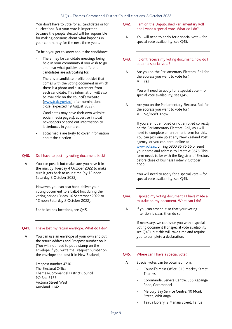You don't have to vote for all candidates or for all elections. But your vote is important because the people elected will be responsible for making decisions about what happens in your community for the next three years.

To help you get to know about the candidates:

- There may be candidate meetings being held in your community if you wish to go and hear what policies the different candidates are advocating for.
- There is a candidate profile booklet that comes with the voting document in which there is a photo and a statement from each candidate. This information will also be available on the council's website (www.tcdc.govt.nz) after nominations close (expected 19 August 2022).
- Candidates may have their own website, social media page(s), advertise in local newspapers or send out information to letterboxes in your area.
- Local media are likely to cover information about the election.

#### Q40. Do I have to post my voting document back?

A You can post it but make sure you have it in the mail by Tuesday 4 October 2022 to make sure it gets back to us in time (by 12 noon Saturday 8 October 2022).

> However, you can also hand deliver your voting document to a ballot box during the voting period (Friday 16 September 2022 to 12 noon Saturday 8 October 2022).

For ballot box locations, see Q45.

#### Q41. I have lost my return envelope. What do I do?

A You can use an envelope of your own and put the return address and Freepost number on it. (You will not need to put a stamp on the envelope if you write the Freepost number on the envelope and post it in New Zealand.)

> Freepost number 4710 The Electoral Office Thames-Coromandel District Council PO Box 5135 Victoria Street West Auckland 1142

- Q42. I am on the Unpublished Parliamentary Roll and I want a special vote. What do I do?
	- A You will need to apply for a special vote for special vote availability, see Q45.
- Q43. I didn't receive my voting document; how do I obtain a special vote?
- A Are you on the Parliamentary Electoral Roll for the address you want to vote for? Yes

 You will need to apply for a special vote – for special vote availability, see Q45.

A Are you on the Parliamentary Electoral Roll for the address you want to vote for? No/Don't Know

> If you are not enrolled or not enrolled correctly on the Parliamentary Electoral Roll, you will need to complete an enrolment form for this. You can pick one up at any New Zealand Post agency, or you can enrol online at www.vote.nz or ring 0800 36 76 56 or send your name and address to Freetext 3676. This form needs to be with the Registrar of Electors before close of business Friday 7 October 2022.

 You will need to apply for a special vote – for special vote availability, see Q45.

- Q44. I spoiled my voting document / I have made a mistake on my document. What can I do?
- A If you can amend it so that your voting intention is clear, then do so.

 If necessary, we can issue you with a special voting document (for special vote availability, see Q45), but this will take time and require you to complete a declaration.

#### Q45. Where can I have a special vote?

- A Special votes can be obtained from:
	- Council's Main Office, 515 Mackay Street, Thames
	- Coromandel Service Centre, 355 Kapanga Road, Coromandel
	- Mercury Bay Service Centre, 10 Monk Street, Whitianga
	- Tairua Library, 2 Manaia Street, Tairua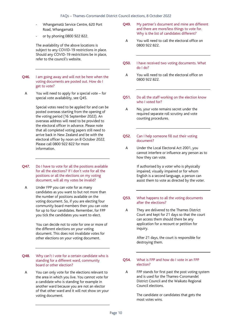- Whangamatā Service Centre, 620 Port Road, Whangamatā
- or by phoning 0800 922 822.

The availability of the above locations is subject to any COVID-19 restrictions in place. Should any COVID-19 restrictions be in place, refer to the council's website.

- Q46. I am going away and will not be here when the voting documents are posted out. How do I get to vote?
- A You will need to apply for a special vote for special vote availability, see Q45.

Special votes need to be applied for and can be posted overseas starting from the opening of the voting period (16 September 2022). An overseas address will need to be provided to the electoral officer in advance. Please note that all completed voting papers still need to arrive back in New Zealand and be with the electoral officer by noon on 8 October 2022. Please call 0800 922 822 for more information.

- Q47. Do I have to vote for all the positions available for all the elections? If I don't vote for all the positions or all the elections on my voting document, will all my votes be invalid?
	- A Under FPP you can vote for as many candidates as you want to but not more than the number of positions available on the voting document. So, if you are electing four community board members then you can vote for up to four candidates. Remember, for FPP you tick the candidates you want to elect.

 You can decide not to vote for one or more of the different elections on your voting document. This does not invalidate votes for other elections on your voting document.

#### Q48. Why can't I vote for a certain candidate who is standing for a different ward, community board or other election?

A You can only vote for the elections relevant to the area in which you live. You cannot vote for a candidate who is standing for example in another ward because you are not an elector of that other ward and it will not show on your voting document.

- Q49. My partner's document and mine are different and there are more/less things to vote for. Why is the list of candidates different?
- A You will need to call the electoral office on 0800 922 822.
- Q50. I have received two voting documents. What do I do?
- A You will need to call the electoral office on 0800 922 822.
- Q51. Do all the staff working on the election know who I voted for?
	- A No, your vote remains secret under the required separate roll scrutiny and vote counting procedures.

#### Q52. Can I help someone fill out their voting document?

A Under the Local Electoral Act 2001, you cannot interfere or influence any person as to how they can vote.

> If authorised by a voter who is physically impaired, visually impaired or for whom English is a second language, a person can assist them to vote as directed by the voter.

- Q53. What happens to all the voting documents after the elections?
	- A They are delivered to the Thames District Court and kept for 21 days so that the court can access them should there be any application for a recount or petition for inquiry.

 After 21 days, the court is responsible for destroying them.

#### Q54. What is FPP and how do I vote in an FPP election?

A FPP stands for first past the post voting system and is used for the Thames-Coromandel District Council and the Waikato Regional Council elections.

> The candidate or candidates that gets the most votes wins.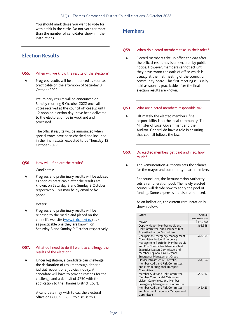You should mark those you want to vote for with a tick in the circle. Do not vote for more than the number of candidates shown in the instructions.

## **Election Results**

#### Q55. When will we know the results of the election?

A Progress results will be announced as soon as practicable on the afternoon of Saturday 8 October 2022.

> Preliminary results will be announced on Sunday morning 9 October 2022 once all votes received at the council offices (up until 12 noon on election day) have been delivered to the electoral office in Auckland and processed.

 The official results will be announced when special votes have been checked and included in the final results, expected to be Thursday 13 October 2022.

#### Q56. How will I find out the results?

#### Candidates:

A Progress and preliminary results will be advised as soon as practicable after the results are known, on Saturday 8 and Sunday 9 October respectively. This may be by email or by phone.

#### Voters:

A Progress and preliminary results will be released to the media and placed on the council's website (www.tcdc.govt.nz) as soon as practicable one they are known, on Saturday 8 and Sunday 9 October respectively.

#### Q57. What do I need to do if I want to challenge the results of the election?

A Under legislation, a candidate can challenge the declaration of results through either a judicial recount or a judicial inquiry. A candidate will have to provide reasons for the challenge and a deposit of \$750 with the application to the Thames District Court.

> A candidate may wish to call the electoral office on 0800 922 822 to discuss this.

## **Members**

#### Q58. When do elected members take up their roles?

A Elected members take up office the day after the official result has been declared by public notice. However, members cannot act until they have sworn the oath of office which is usually at the first meeting of the council or community board. This first meeting is usually held as soon as practicable after the final election results are known.

#### Q59. Who are elected members responsible to?

A Ultimately the elected members' final responsibility is to the local community. The Minister of Local Government and the Auditor–General do have a role in ensuring that council follows the law.

#### Q60. Do elected members get paid and if so, how much?

A The Remuneration Authority sets the salaries for the mayor and community board members.

> For councillors, the Remuneration Authority sets a remuneration pool. The newly elected council will decide how to apply the pool of funding. Some expenses are also reimbursed.

> As an indication, the current remuneration is shown below.

| Office                                                                                                                                                                                                                                              | Annual       |
|-----------------------------------------------------------------------------------------------------------------------------------------------------------------------------------------------------------------------------------------------------|--------------|
|                                                                                                                                                                                                                                                     | remuneration |
| Mayor                                                                                                                                                                                                                                               | \$130,000    |
| Deputy Mayor, Member Audit and<br>Risk Committee, and Member Chief<br><b>Executive Liaison Committee</b>                                                                                                                                            | \$68.558     |
| Chairperson Emergency Management<br>Committee, Holder Emergency<br>Management Portfolio, Member Audit<br>and Risk Committee, Member Chief<br>Executive Liaison Committee, and<br>Member Regional Civil Defence<br><b>Emergency Management Group</b> | \$64,354     |
| Holder Infrastructure Portfolio,<br>Member Audit and Risk Committee,<br>and Member Regional Transport<br>Committee                                                                                                                                  | \$64,354     |
| Member Audit and Risk Committee,<br>Member Coromandel Catchment<br>Liaison Committee, and Member<br><b>Emergency Management Committee</b>                                                                                                           | \$58.047     |
| Member Audit and Risk Committee<br>and Member Emergency Management<br>Committee                                                                                                                                                                     | \$48,423     |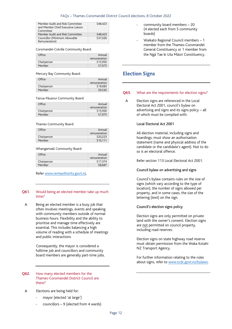| Member Audit and Risk Committee<br>and Member Chief Executive Liaison | \$48,423 |
|-----------------------------------------------------------------------|----------|
| Committee                                                             |          |
| Member Audit and Risk Committee                                       | \$48,423 |
| Councillor (Minimum Allowable                                         | \$37.026 |
| Remuneration)                                                         |          |

#### Coromandel-Colville Community Board:

| Office      | Annual       |
|-------------|--------------|
|             | remuneration |
| Chairperson | \$15.950     |
| Member      | \$7.975      |

Mercury Bay Community Board:

| Office      | Annual       |
|-------------|--------------|
|             | remuneration |
| Chairperson | \$19.083     |
| Member      | \$9.542      |

Tairua-Pāuanui Community Board:

| Office      | Annual       |
|-------------|--------------|
|             | remuneration |
| Chairperson | \$15.950     |
| Member      | \$7.975      |

#### Thames Community Board:

| Office      | Annual       |
|-------------|--------------|
|             | remuneration |
| Chairperson | \$20.223     |
| Member      | \$10.111     |

#### Whangamatā Community Board:

| Office      | Annual<br>remuneration |
|-------------|------------------------|
| Chairperson | \$17.374               |
| Member      | \$8.687                |

Refer www.remauthority.govt.nz.

#### Q61. Would being an elected member take up much time?

A Being an elected member is a busy job that often involves meetings, events and speaking with community members outside of normal business hours. Flexibility and the ability to prioritise and manage time effectively are essential. This includes balancing a high volume of reading with a schedule of meetings and public interactions

> Consequently, the mayor is considered a fulltime job and councillors and community board members are generally part-time jobs.

Q62. How many elected members for the Thames-Coromandel District Council are there?

#### A Elections are being held for:

- mayor (elected 'at large')
- councillors  $9$  (elected from 4 wards)
- community board members 20 (4 elected each from 5 community boards)
- Waikato Regional Council members 1 member from the Thames-Coromandel General Constituency or 1 member from the Ngā Tae ki Uta Māori Constituency.

### **Election Signs**

#### Q63. What are the requirements for election signs?

A Election signs are referenced in the Local Electoral Act 2001, council's bylaw on advertising and signs and its signs policy – all of which must be complied with.

#### Local Electoral Act 2001

All election material, including signs and hoardings, must show an authorisation statement (name and physical address of the candidate or the candidate's agent). Not to do so is an electoral offence.

Refer section 113 Local Electoral Act 2001.

#### Council bylaw on advertising and signs

Council's bylaw contains rules on the size of signs (which vary according to the type of location), the number of signs allowed per property, and in some cases, the size of the lettering (text) on the sign.

#### Council's election signs policy

Election signs are only permitted on private land with the owner's consent. Election signs are not permitted on council property, including road reserves.

Election signs on state highway road reserve must obtain permission from the Waka Kotahi NZ Transport Agency.

For further information relating to the rules about signs, refer to www.tcdc.govt.nz/bylaws.